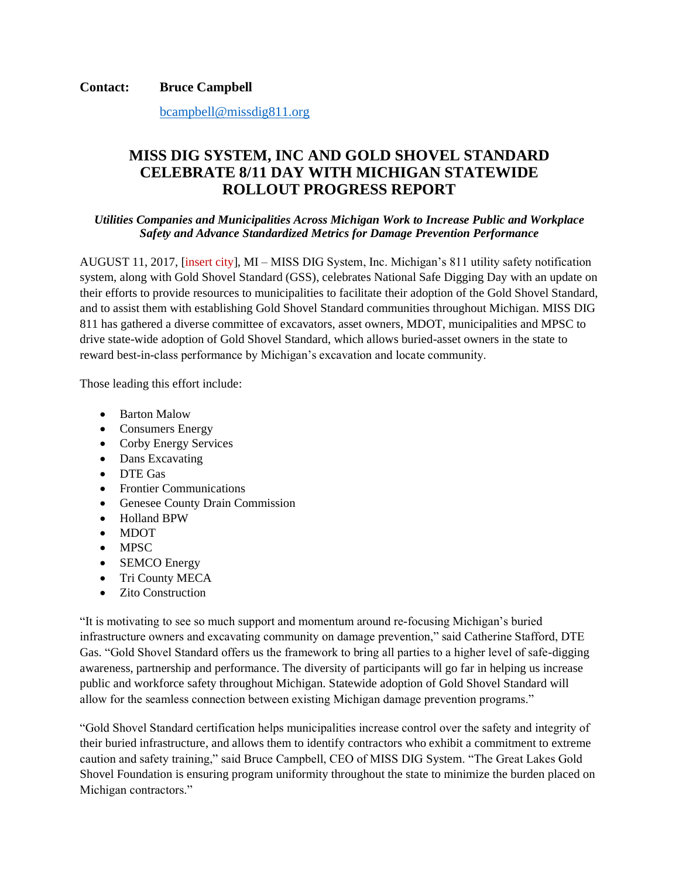**Contact: Bruce Campbell**

[bcampbell@missdig811.org](mailto:bcampbell@missdig811.org)

## **MISS DIG SYSTEM, INC AND GOLD SHOVEL STANDARD CELEBRATE 8/11 DAY WITH MICHIGAN STATEWIDE ROLLOUT PROGRESS REPORT**

## *Utilities Companies and Municipalities Across Michigan Work to Increase Public and Workplace Safety and Advance Standardized Metrics for Damage Prevention Performance*

AUGUST 11, 2017, [insert city], MI – MISS DIG System, Inc. Michigan's 811 utility safety notification system, along with Gold Shovel Standard (GSS), celebrates National Safe Digging Day with an update on their efforts to provide resources to municipalities to facilitate their adoption of the Gold Shovel Standard, and to assist them with establishing Gold Shovel Standard communities throughout Michigan. MISS DIG 811 has gathered a diverse committee of excavators, asset owners, MDOT, municipalities and MPSC to drive state-wide adoption of Gold Shovel Standard, which allows buried-asset owners in the state to reward best-in-class performance by Michigan's excavation and locate community.

Those leading this effort include:

- Barton Malow
- Consumers Energy
- Corby Energy Services
- Dans Excavating
- DTE Gas
- Frontier Communications
- Genesee County Drain Commission
- Holland BPW
- MDOT
- MPSC
- SEMCO Energy
- Tri County MECA
- Zito Construction

"It is motivating to see so much support and momentum around re-focusing Michigan's buried infrastructure owners and excavating community on damage prevention," said Catherine Stafford, DTE Gas. "Gold Shovel Standard offers us the framework to bring all parties to a higher level of safe-digging awareness, partnership and performance. The diversity of participants will go far in helping us increase public and workforce safety throughout Michigan. Statewide adoption of Gold Shovel Standard will allow for the seamless connection between existing Michigan damage prevention programs."

"Gold Shovel Standard certification helps municipalities increase control over the safety and integrity of their buried infrastructure, and allows them to identify contractors who exhibit a commitment to extreme caution and safety training," said Bruce Campbell, CEO of MISS DIG System. "The Great Lakes Gold Shovel Foundation is ensuring program uniformity throughout the state to minimize the burden placed on Michigan contractors."